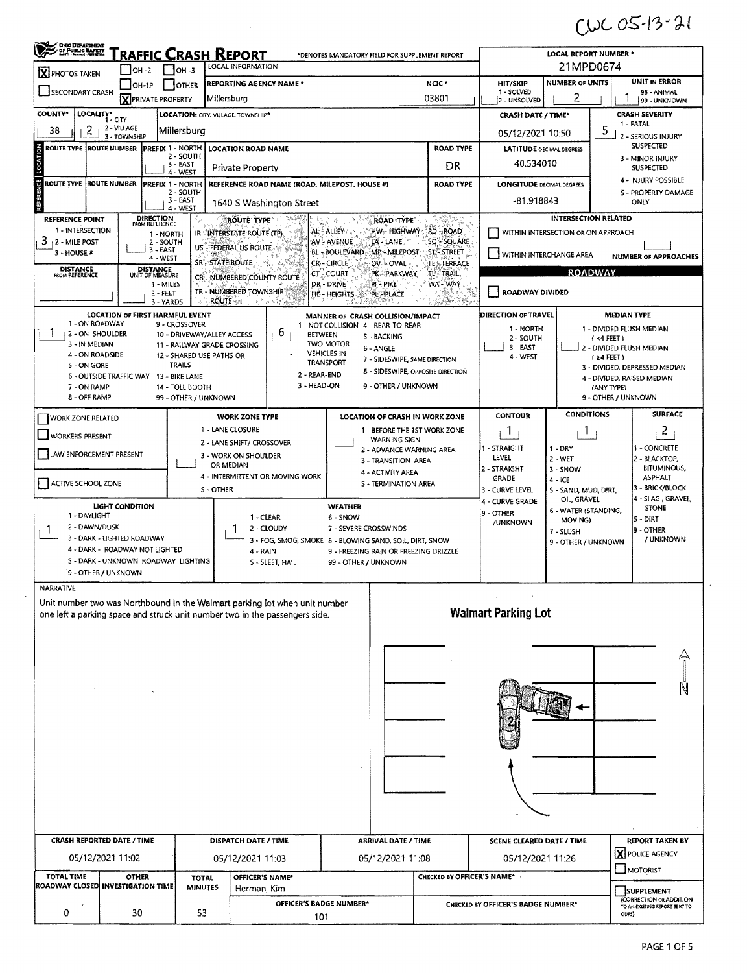$CUCOS-13-21$ 

 $\hat{\mathcal{F}}$ 

| X PHOTOS TAKEN                                                              | $\bigcup$ OH -2                    | $1$ 10H -3                                          | RAFFIC CRASH REPORT<br>LOCAL INFORMATION                  |                                                   | *DENOTES MANDATORY FIELD FOR SUPPLEMENT REPORT                                   | <b>LOCAL REPORT NUMBER *</b><br>21MPD0674                  |                                     |                                    |                                         |                                                                              |  |
|-----------------------------------------------------------------------------|------------------------------------|-----------------------------------------------------|-----------------------------------------------------------|---------------------------------------------------|----------------------------------------------------------------------------------|------------------------------------------------------------|-------------------------------------|------------------------------------|-----------------------------------------|------------------------------------------------------------------------------|--|
| <b>SOTHER</b><br>$[OH-1P]$                                                  |                                    |                                                     | REPORTING AGENCY NAME *                                   |                                                   |                                                                                  | UNIT IN ERROR<br><b>NUMBER OF UNITS</b><br><b>HIT/SKIP</b> |                                     |                                    |                                         |                                                                              |  |
| SECONDARY CRASH                                                             | <b>X</b> PRIVATE PROPERTY          |                                                     | Millersburg                                               |                                                   | 1 - SOLVED<br>2 - UNSOLVED                                                       | 2                                                          |                                     | 98 - ANIMAL<br>99 - UNKNOWN        |                                         |                                                                              |  |
| <b>COUNTY*</b><br>LOCALITY* CITY                                            |                                    |                                                     | <b>LOCATION: CITY. VILLAGE TOWNSHIP*</b>                  |                                                   |                                                                                  |                                                            | <b>CRASH DATE / TIME*</b>           |                                    |                                         | <b>CRASH SEVERITY</b>                                                        |  |
| 2<br>38                                                                     | 2 - VILLAGE<br>3 - TOWNSHIP        | Millersburg                                         |                                                           |                                                   |                                                                                  |                                                            | 05/12/2021 10:50                    |                                    | .5                                      | 1 - FATAL<br>2 - SERIOUS INJURY                                              |  |
| <b>ROUTE TYPE ROUTE NUMBER</b>                                              |                                    | <b>PREFIX 1 - NORTH</b>                             | <b>LOCATION ROAD NAME</b>                                 |                                                   |                                                                                  | <b>ROAD TYPE</b>                                           | <b>LATITUDE DECIMAL DEGREES</b>     |                                    |                                         | <b>SUSPECTED</b>                                                             |  |
|                                                                             | 2 - SOUTH<br>$3 - EAST$            | Private Property                                    |                                                           | 3 - MINOR INJURY<br>40.534010<br><b>SUSPECTED</b> |                                                                                  |                                                            |                                     |                                    |                                         |                                                                              |  |
| ROUTE TYPE ROUTE NUMBER                                                     |                                    | $4 - WEST$<br>PREFIX 1 - NORTH                      |                                                           |                                                   | REFERENCE ROAD NAME (ROAD, MILEPOST, HOUSE #)                                    | <b>ROAD TYPE</b>                                           | <b>LONGITUDE DECIMAL DEGREES</b>    |                                    |                                         | 4 - INJURY POSSIBLE                                                          |  |
|                                                                             |                                    | 2 - SOUTH<br>3 - EAST                               |                                                           |                                                   |                                                                                  |                                                            | -81.918843                          |                                    |                                         | S - PROPERTY DAMAGE<br>ONLY                                                  |  |
|                                                                             |                                    | 4 - WEST                                            |                                                           | 1640 S Washington Street<br>Ъz                    |                                                                                  |                                                            |                                     | <b>INTERSECTION RELATED</b>        |                                         |                                                                              |  |
| <b>REFERENCE POINT</b><br>1 - INTERSECTION                                  | <b>DIRECTION</b><br>FROM REFERENCE | °è<br>1 - NORTH                                     | ROUTE TYPE<br>IR - INTERSTATE ROUTE (TP)                  |                                                   | <b>ROAD TYPE</b><br>AL' - ALLEY /<br>hw- Highway :                               | <b>RD-ROAD</b>                                             |                                     | WITHIN INTERSECTION OR ON APPROACH |                                         |                                                                              |  |
| 3<br>2 - MILE POST                                                          |                                    | 2 - SOUTH<br>3 - EAST                               | US - FEDERAL US ROUTE - \$ MAR                            |                                                   | AV - AVENUE<br>LA - LANE<br>BL - BOULEVARD MP - MILEPOST                         | SQ <sup>-SQUARE</sup>                                      |                                     |                                    |                                         |                                                                              |  |
| 3 - HOUSE #                                                                 |                                    | 4 - WEST                                            | <b>SR<sup>®</sup>STATE ROUTE</b>                          |                                                   | <b>CR-CIRCLE</b><br>OV - OVAL                                                    | <b>STE STREET</b><br>TE - TERRACE                          | WITHIN INTERCHANGE AREA             |                                    |                                         | <b>NUMBER OF APPROACHES</b>                                                  |  |
| DISTANCE<br>FROM REFERENCE                                                  | DISTANCE<br>UNIT OF MEASURE        |                                                     | CR.- NUMBERED COUNTY ROUTE                                |                                                   | PK - PARKWAY<br>CT - COURT<br>DR - DRIVE<br>PI-PIKE                              | TL-TRAIL,<br>WA-WAY.                                       |                                     |                                    | <b>ROADWAY</b>                          |                                                                              |  |
|                                                                             |                                    | 1 - MILES<br>2 - FEET                               | TR - NUMBERED TOWNSHIP                                    |                                                   | HE-HEIGHTS<br><b>PL-PLACE</b>                                                    |                                                            | <b>ROADWAY DIVIDED</b>              |                                    |                                         |                                                                              |  |
|                                                                             |                                    | 3 - YARDS<br><b>LOCATION OF FIRST HARMFUL EVENT</b> | <b>ROUTE</b>                                              | "再产业主题                                            | MANNER OF CRASH COLLISION/IMPACT                                                 | Sandy de S. Elle                                           | <b>DIRECTION OF TRAVEL</b>          |                                    | <b>MEDIAN TYPE</b>                      |                                                                              |  |
| 1 - ON ROADWAY                                                              |                                    | 9 - CROSSOVER                                       |                                                           |                                                   | 1 - NOT COLLISION 4 - REAR-TO-REAR                                               |                                                            | 1 - NORTH                           |                                    | 1 - DIVIDED FLUSH MEDIAN                |                                                                              |  |
| 2 - ON SHOULDER<br>3 - IN MEDIAN                                            |                                    |                                                     | 10 - DRIVEWAY/ALLEY ACCESS<br>11 - RAILWAY GRADE CROSSING | 6<br><b>BETWEEN</b>                               | <b>S-BACKING</b><br><b>TWO MOTOR</b><br>6 - ANGLE                                |                                                            | 2 - SOUTH<br>3 - EAST               |                                    | (4 FEET)                                |                                                                              |  |
| 4 - ON ROADSIDE                                                             |                                    | 12 - SHARED USE PATHS OR<br><b>TRAILS</b>           |                                                           |                                                   | <b>VEHICLES IN</b><br>7 - SIDESWIPE, SAME DIRECTION<br><b>TRANSPORT</b>          |                                                            | 4 - WEST                            |                                    | 2 - DIVIDED FLUSH MEDIAN<br>$(24$ FEET) |                                                                              |  |
| S - ON GORE                                                                 |                                    | 6 - OUTSIDE TRAFFIC WAY 13 - BIKE LANE              |                                                           | 2 - REAR-END                                      | 8 - SIDESWIPE, OPPOSITE DIRECTION                                                |                                                            |                                     |                                    |                                         | 3 - DIVIDED, DEPRESSED MEDIAN<br>4 - DIVIDED, RAISED MEDIAN                  |  |
| 7 - ON RAMP<br>8 - OFF RAMP                                                 |                                    | 14 - TOLL BOOTH<br>99 - OTHER / UNKNOWN             |                                                           | 3 - HEAD-ON                                       | 9 - OTHER / UNKNOWN                                                              |                                                            |                                     |                                    | (ANY TYPE)<br>9 - OTHER / UNKNOWN       |                                                                              |  |
|                                                                             |                                    |                                                     |                                                           |                                                   |                                                                                  |                                                            | <b>CONTOUR</b>                      | <b>CONDITIONS</b>                  |                                         | <b>SURFACE</b>                                                               |  |
| <b>WORK ZONE RELATED</b>                                                    |                                    |                                                     | <b>WORK ZONE TYPE</b><br>1 - LANE CLOSURE                 |                                                   | LOCATION OF CRASH IN WORK ZONE<br>1 - BEFORE THE 1ST WORK ZONE                   |                                                            | 1                                   | T.                                 |                                         | 2                                                                            |  |
| <b>WORKERS PRESENT</b>                                                      |                                    |                                                     | 2 - LANE SHIFT/ CROSSOVER                                 |                                                   | <b>WARNING SIGN</b>                                                              | 1 - STRAIGHT                                               |                                     | 1 - CONCRETE                       |                                         |                                                                              |  |
| LAW ENFORCEMENT PRESENT                                                     |                                    |                                                     | 3 - WORK ON SHOULDER                                      |                                                   | 2 - ADVANCE WARNING AREA<br>3 - TRANSITION AREA                                  |                                                            | LEVEL                               | 1-DRY<br>$2 - WET$                 | 2 - BLACKTOP,                           |                                                                              |  |
|                                                                             |                                    |                                                     | OR MEDIAN<br>4 - INTERMITTENT OR MOVING WORK              |                                                   | 4 - ACTIVITY AREA                                                                | 2 - STRAIGHT<br><b>GRADE</b>                               | 3 - SNOW<br>$4 - ICE$               |                                    | <b>BITUMINOUS,</b><br><b>ASPHALT</b>    |                                                                              |  |
| ACTIVE SCHOOL ZONE                                                          |                                    |                                                     | S - OTHER                                                 |                                                   | S - TERMINATION AREA                                                             |                                                            | 3 - CURVE LEVEL                     | S - SAND, MUD, DIRT,               |                                         | 3 - BRICK/BLOCK                                                              |  |
| <b>LIGHT CONDITION</b>                                                      |                                    |                                                     |                                                           |                                                   | <b>WEATHER</b>                                                                   | 4 - CURVE GRADE                                            | OIL, GRAVEL<br>6 - WATER (STANDING, |                                    | 4 - SLAG , GRAVEL,<br><b>STONE</b>      |                                                                              |  |
| 1 - DAYLIGHT<br>1 - CLEAR<br>2 - DAWN/DUSK                                  |                                    |                                                     |                                                           |                                                   | 6 - SNOW                                                                         |                                                            | 9 - OTHER<br>/UNKNOWN               | MOVING)                            |                                         | ls - DIRT                                                                    |  |
| Т.<br>3 - DARK - LIGHTED ROADWAY                                            |                                    |                                                     | $\blacksquare$                                            | 2 - CLOUDY                                        | 7 - SEVERE CROSSWINDS<br>3 - FOG, SMOG, SMOKE 8 - BLOWING SAND, SOIL, DIRT, SNOW |                                                            | 7 - SLUSH<br>9 - OTHER / UNKNOWN    |                                    | 9 - OTHER<br>/ UNKNOWN                  |                                                                              |  |
| 4 - DARK - ROADWAY NOT LIGHTED                                              |                                    | 5 - DARK - UNKNOWN ROADWAY LIGHTING                 | 4 - RAIN                                                  |                                                   | 9 - FREEZING RAIN OR FREEZING DRIZZLE                                            |                                                            |                                     |                                    |                                         |                                                                              |  |
| 9 - OTHER / UNKNOWN                                                         |                                    |                                                     |                                                           | S - SLEET, HAIL                                   | 99 - OTHER / UNKNOWN                                                             |                                                            |                                     |                                    |                                         |                                                                              |  |
| NARRATIVE                                                                   |                                    |                                                     |                                                           |                                                   |                                                                                  |                                                            |                                     |                                    |                                         |                                                                              |  |
| Unit number two was Northbound in the Walmart parking lot when unit number  |                                    |                                                     |                                                           |                                                   |                                                                                  |                                                            |                                     |                                    |                                         |                                                                              |  |
| one left a parking space and struck unit number two in the passengers side. |                                    |                                                     |                                                           |                                                   |                                                                                  |                                                            | <b>Walmart Parking Lot</b>          |                                    |                                         |                                                                              |  |
|                                                                             |                                    |                                                     |                                                           |                                                   |                                                                                  |                                                            |                                     |                                    |                                         |                                                                              |  |
|                                                                             |                                    |                                                     |                                                           |                                                   |                                                                                  |                                                            |                                     |                                    |                                         | $\hat{\mathcal{A}}$                                                          |  |
|                                                                             |                                    |                                                     |                                                           |                                                   |                                                                                  |                                                            |                                     |                                    |                                         |                                                                              |  |
|                                                                             |                                    |                                                     |                                                           |                                                   |                                                                                  |                                                            |                                     |                                    |                                         | Ñ                                                                            |  |
|                                                                             |                                    |                                                     |                                                           |                                                   |                                                                                  |                                                            |                                     |                                    |                                         |                                                                              |  |
|                                                                             |                                    |                                                     |                                                           |                                                   |                                                                                  |                                                            |                                     |                                    |                                         |                                                                              |  |
|                                                                             |                                    |                                                     |                                                           |                                                   |                                                                                  |                                                            |                                     |                                    |                                         |                                                                              |  |
|                                                                             |                                    |                                                     |                                                           |                                                   |                                                                                  |                                                            |                                     |                                    |                                         |                                                                              |  |
|                                                                             |                                    |                                                     |                                                           |                                                   |                                                                                  |                                                            |                                     |                                    |                                         |                                                                              |  |
|                                                                             |                                    |                                                     |                                                           |                                                   |                                                                                  |                                                            |                                     |                                    |                                         |                                                                              |  |
|                                                                             |                                    |                                                     |                                                           |                                                   |                                                                                  |                                                            |                                     |                                    |                                         |                                                                              |  |
|                                                                             |                                    |                                                     |                                                           |                                                   |                                                                                  |                                                            |                                     |                                    |                                         |                                                                              |  |
|                                                                             |                                    |                                                     |                                                           |                                                   |                                                                                  |                                                            |                                     |                                    |                                         |                                                                              |  |
|                                                                             |                                    |                                                     |                                                           |                                                   |                                                                                  |                                                            |                                     |                                    |                                         |                                                                              |  |
| <b>CRASH REPORTED DATE / TIME</b>                                           |                                    |                                                     | <b>DISPATCH DATE / TIME</b>                               |                                                   | <b>ARRIVAL DATE / TIME</b>                                                       |                                                            | SCENE CLEARED DATE / TIME           |                                    |                                         | <b>REPORT TAKEN BY</b>                                                       |  |
| 05/12/2021 11:02                                                            |                                    |                                                     | 05/12/2021 11:03                                          |                                                   | 05/12/2021 11:08                                                                 |                                                            | 05/12/2021 11:26                    |                                    |                                         | <b>X</b> POLICE AGENCY                                                       |  |
| <b>TOTAL TIME</b>                                                           | <b>OTHER</b>                       | <b>TOTAL</b>                                        | <b>OFFICER'S NAME*</b>                                    |                                                   |                                                                                  | CHECKED BY OFFICER'S NAME*                                 |                                     |                                    |                                         | MOTORIST                                                                     |  |
| ROADWAY CLOSED INVESTIGATION TIME                                           |                                    | <b>MINUTES</b>                                      | Herman, Kim                                               | OFFICER'S BADGE NUMBER*                           |                                                                                  |                                                            | CHECKED BY OFFICER'S BADGE NUMBER*  |                                    |                                         | SUPPLEMENT<br><b>CORRECTION OR ADDITION</b><br>TO AN EXISTING REPORT SENT TO |  |

 $\sim 10^{-1}$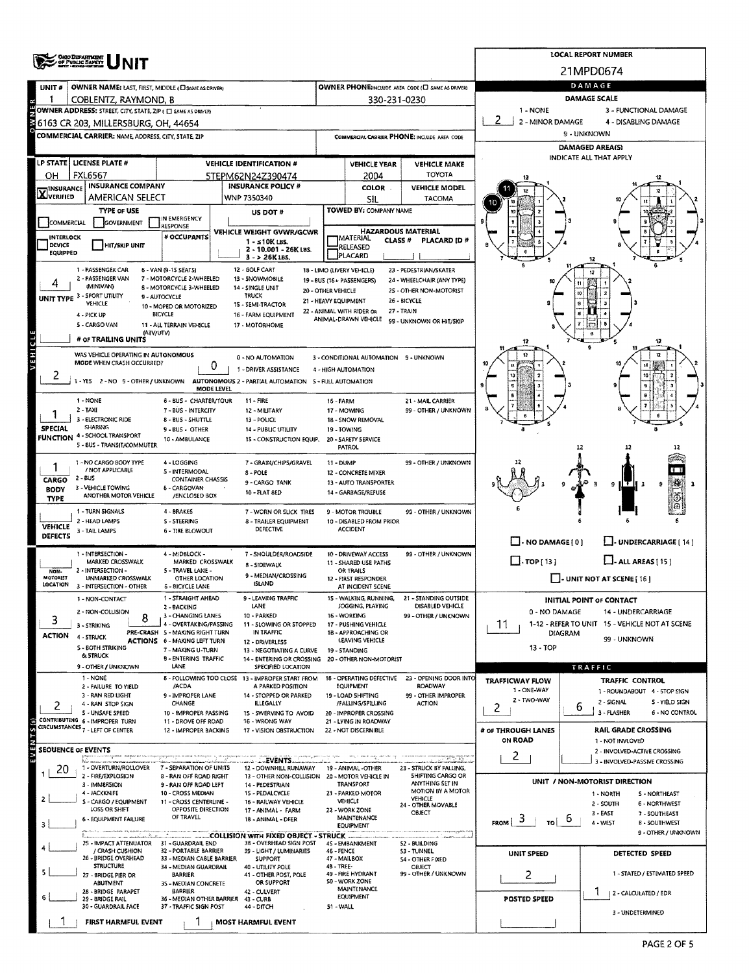|                                                                          | <b>CHIO DEPARTMENT</b><br>OF PUBLIC BAPETY                                                                            |                                                           |                                                                                   |                                            |                                                   |                                                           |                                                                 | <b>LOCAL REPORT NUMBER</b>                                |  |  |  |
|--------------------------------------------------------------------------|-----------------------------------------------------------------------------------------------------------------------|-----------------------------------------------------------|-----------------------------------------------------------------------------------|--------------------------------------------|---------------------------------------------------|-----------------------------------------------------------|-----------------------------------------------------------------|-----------------------------------------------------------|--|--|--|
|                                                                          |                                                                                                                       |                                                           |                                                                                   |                                            |                                                   |                                                           |                                                                 | 21MPD0674                                                 |  |  |  |
| UNIT#                                                                    | <b>OWNER NAME: LAST, FIRST, MIDDLE (E) SAME AS DRIVERY</b>                                                            |                                                           |                                                                                   |                                            |                                                   | <b>OWNER PHONE:INCLUDE AREA CODE (C) SAME AS DRIVER)</b>  |                                                                 | DAMAGE                                                    |  |  |  |
| 1                                                                        | COBLENTZ, RAYMOND, B                                                                                                  |                                                           |                                                                                   |                                            | 330-231-0230                                      |                                                           | 1 - NONE                                                        | DAMAGE SCALE<br>3 - FUNCTIONAL DAMAGE                     |  |  |  |
|                                                                          | OWNER ADDRESS: STREET, CITY, STATE, ZIP $\mathfrak{t} \square$ same as driver)<br>6163 CR 203, MILLERSBURG, OH, 44654 |                                                           |                                                                                   |                                            |                                                   |                                                           | 2 - MINOR DAMAGE                                                | 4 - DISABLING DAMAGE                                      |  |  |  |
|                                                                          | <b>COMMERCIAL CARRIER: NAME ADDRESS, CITY, STATE, ZIP</b>                                                             |                                                           |                                                                                   |                                            |                                                   | COMMERCIAL CARRIER PHONE: INCLUDE AREA CODE               | 9 - UNKNOWN                                                     |                                                           |  |  |  |
|                                                                          |                                                                                                                       |                                                           |                                                                                   |                                            |                                                   |                                                           | DAMAGED AREA(S)                                                 |                                                           |  |  |  |
|                                                                          | LP STATE   LICENSE PLATE #                                                                                            |                                                           | <b>VEHICLE IDENTIFICATION #</b>                                                   |                                            | <b>VEHICLE YEAR</b>                               | <b>VEHICLE MAKE</b>                                       |                                                                 | INDICATE ALL THAT APPLY                                   |  |  |  |
| ОН                                                                       | <b>FXL6567</b>                                                                                                        |                                                           | 5TEPM62N24Z390474                                                                 |                                            | 2004                                              | <b>TOYOTA</b>                                             |                                                                 |                                                           |  |  |  |
| <b>X</b> INSURANCE                                                       | <b>INSURANCE COMPANY</b><br>AMERICAN SELECT                                                                           |                                                           | <b>INSURANCE POLICY #</b><br>WNP 7350340                                          |                                            | <b>COLOR</b>                                      | <b>VEHICLE MODEL</b><br>TACOMA                            |                                                                 |                                                           |  |  |  |
|                                                                          | TYPE OF USE                                                                                                           |                                                           | US DOT #                                                                          |                                            | SIL<br>TOWED BY: COMPANY NAME                     |                                                           |                                                                 |                                                           |  |  |  |
| IN EMERGENCY<br>COMMERCIAL<br><b>GOVERNMENT</b><br>RESPONSE              |                                                                                                                       |                                                           |                                                                                   |                                            |                                                   |                                                           |                                                                 |                                                           |  |  |  |
| VEHICLE WEIGHT GVWR/GCWR<br># OCCUPANTS<br>INTERLOCK<br>$1 - 510$ K LBS. |                                                                                                                       |                                                           |                                                                                   |                                            | MATERIAL<br>CLASS <sup>#</sup>                    | <b>HAZARDOUS MATERIAL</b><br>PLACARD (D #                 |                                                                 |                                                           |  |  |  |
| <b>DEVICE</b><br>EQUIPPED                                                | <b>HIT/SKIP UNIT</b>                                                                                                  |                                                           | 2 - 10.001 - 26K LBS.<br>$3 - 26$ K LBS.                                          |                                            | RELEASED<br>PLACARD                               |                                                           |                                                                 |                                                           |  |  |  |
|                                                                          | 1 - PASSENGER CAR                                                                                                     | 6 - VAN (9-1S SEATS)                                      | 12 - GOLF CART                                                                    |                                            | 18 - LIMO (LIVERY VEHICLE)                        | 23 - PEDESTRIAN/SKATER                                    |                                                                 |                                                           |  |  |  |
|                                                                          | 2 - PASSENGER VAN<br>(MINIVAN)                                                                                        | 7 - MOTORCYCLE 2-WHEELED<br>8 - MOTORCYCLE 3-WHEELED      | 13 - SNOWMOBILE<br>14 - SINGLE UNIT                                               |                                            | 19 - BUS (16 + PASSENGERS)                        | 24 - WHEELCHAIR (ANY TYPE)                                |                                                                 |                                                           |  |  |  |
|                                                                          | UNIT TYPE 3 - SPORT UTILITY<br>VEHICLE                                                                                | 9 - AUTOCYCLE                                             | TRUCK<br>15 - SEMI-TRACTOR                                                        | 20 - OTHER VEHICLE<br>21 - HEAVY EQUIPMENT |                                                   | 2S - OTHER NON-MOTORIST<br>26 - BICYCLE                   |                                                                 |                                                           |  |  |  |
|                                                                          | 4 - PICK UP                                                                                                           | 10 - MOPED OR MOTORIZED<br>BICYCLE                        | 16 - FARM EQUIPMENT                                                               |                                            | 22 - ANIMAL WITH RIDER OR<br>ANIMAL-DRAWN VEHICLE | 27 - TRAIN                                                |                                                                 |                                                           |  |  |  |
|                                                                          | S - CARGO VAN<br>(ATV/UTV)                                                                                            | 11 - ALL TERRAIN VEHICLE                                  | 17 - MOTORHOME                                                                    |                                            |                                                   | 99 - UNKNOWN OR HIT/SKIP                                  |                                                                 |                                                           |  |  |  |
|                                                                          | # OF TRAILING UNITS                                                                                                   |                                                           |                                                                                   |                                            |                                                   |                                                           |                                                                 |                                                           |  |  |  |
| VEHICLE                                                                  | WAS VEHICLE OPERATING IN AUTONOMOUS<br>MODE WHEN CRASH OCCURRED?                                                      |                                                           | 0 - NO AUTOMATION                                                                 |                                            | 3 - CONDITIONAL AUTOMATION 9 - UNKNOWN            |                                                           |                                                                 |                                                           |  |  |  |
|                                                                          |                                                                                                                       | 0                                                         | 1 - DRIVER ASSISTANCE                                                             |                                            | 4 - HIGH AUTOMATION                               |                                                           |                                                                 |                                                           |  |  |  |
|                                                                          | -YES 2-NO 9-OTHER/UNKNOWN                                                                                             | MODE LEVEL                                                | AUTONOMOUS 2 - PARTIAL AUTOMATION 5 - FULL AUTOMATION                             |                                            |                                                   |                                                           | ø                                                               |                                                           |  |  |  |
|                                                                          | 1 - NONE                                                                                                              | 6 - BUS - CHARTER/TOUR                                    | 11 - FIRE                                                                         | 16 - FARM                                  |                                                   | 21 - MAIL CARRIER                                         |                                                                 |                                                           |  |  |  |
|                                                                          | 2 - TAXI<br>7 - BUS - INTERCITY<br>12 - MILITARY<br>3 - ELECTRONIC RIDE<br>8 - BUS - SHUTTLE<br>13 - POLICE           |                                                           |                                                                                   |                                            | 17 - MOWING<br>18 - SNOW REMOVAL                  | 99 - OTHER / UNKNOWN                                      |                                                                 |                                                           |  |  |  |
| <b>SPECIAL</b>                                                           | <b>SHARING</b><br>9 - BUS - OTHER<br><b>14 - PUBLIC UTILITY</b><br><b>FUNCTION 4 - SCHOOL TRANSPORT</b>               |                                                           |                                                                                   |                                            | 19 - TOWING                                       |                                                           |                                                                 |                                                           |  |  |  |
|                                                                          | 5 - BUS - TRANSIT/COMMUTER                                                                                            | 10 - AMBULANCE                                            | 15 - CONSTRUCTION EQUIP.                                                          |                                            | 20 - SAFETY SERVICE<br><b>PATROL</b>              |                                                           |                                                                 | 12                                                        |  |  |  |
|                                                                          | 1 - NO CARGO BODY TYPE                                                                                                | 4 - LOGGING                                               | 7 - GRAIN/CHIPS/GRAVEL                                                            | 11 - DUMP                                  |                                                   | 99 - OTHER / UNKNOWN                                      |                                                                 |                                                           |  |  |  |
| CARGO                                                                    | / NOT APPLICABLE<br>$2 - 60S$                                                                                         | 5 - INTERMODAL<br><b>CONTAINER CHASSIS</b>                | 8 - POLE<br>9 - CARGO TANK                                                        |                                            | 12 - CONCRETE MIXER<br>13 - AUTO TRANSPORTER      |                                                           |                                                                 |                                                           |  |  |  |
| <b>BODY</b>                                                              | 3 - VEHICLE TOWING<br>ANOTHER MOTOR VEHICLE                                                                           | 6 - CARGOVAN<br>/ENCLOSED BOX                             | 10 - FLAT 8ED                                                                     |                                            | 14 - GARBAGE/REFUSE                               |                                                           |                                                                 | 9                                                         |  |  |  |
| <b>TYPE</b>                                                              | 1 - TURN SIGNALS                                                                                                      | 4 - BRAKES                                                | 7 - WORN OR SLICK TIRES                                                           |                                            | 9 - MOTOR TROUBLE                                 | 99 - OTHER / UNKNOWN                                      |                                                                 |                                                           |  |  |  |
| <b>VEHICLE</b>                                                           | 2 - HEAD LAMPS                                                                                                        | S - STEERING                                              | 8 - TRAILER EQUIPMENT<br><b>DEFECTIVE</b>                                         |                                            | 10 - DISABLED FROM PRIOR<br><b>ACCIDENT</b>       |                                                           |                                                                 |                                                           |  |  |  |
| <b>DEFECTS</b>                                                           | 3 - TAIL LAMPS                                                                                                        | 6 - TIRE BLOWOUT                                          |                                                                                   |                                            |                                                   |                                                           | $\Box$ - NO DAMAGE [ 0 ]                                        | L. UNDERCARRIAGE [14]                                     |  |  |  |
|                                                                          | 1 - INTERSECTION -                                                                                                    | 4 - MIDBLOCK -                                            | 7 - SHOULDER/ROADSIDE                                                             |                                            | 10 - DRIVEWAY ACCESS                              | 99 - OTHER / UNKNOWN                                      |                                                                 |                                                           |  |  |  |
| NON-                                                                     | MARKED CROSSWALK<br>2 - INTERSECTION -                                                                                | MARKED CROSSWALK<br>5 - TRAVEL LANE -                     | 8 - SIDEWALK                                                                      |                                            | 11 - SHARED USE PATHS<br>OR TRAILS                |                                                           | $\Box$ -TOP[13]                                                 | $\Box$ - ALL AREAS [ 15 ]                                 |  |  |  |
| MOTORIST<br>LOCATION                                                     | UNMARKED CROSSWALK<br>3 - INTERSECTION - OTHER                                                                        | OTHER LOCATION<br><b>6 - BICYCLE LANE</b>                 | 9 - MEDIAN/CROSSING<br><b>ISLAND</b>                                              |                                            | 12 - FIRST RESPONDER<br>AT INCIDENT SCENE         |                                                           |                                                                 | $\Box$ - UNIT NOT AT SCENE [ 16 ]                         |  |  |  |
|                                                                          | 1 - NON-CONTACT                                                                                                       | 1 - STRAIGHT AHEAD                                        | 9 - LEAVING TRAFFIC                                                               |                                            | 15 - WALKING, RUNNING,                            | 21 - STANDING OUTSIDE                                     |                                                                 | INITIAL POINT OF CONTACT                                  |  |  |  |
|                                                                          | 2 - NON-COLLISION<br>8                                                                                                | 2 - BACKING<br>3 - CHANGING LANES                         | LANE<br>10 - PARKED                                                               |                                            | JOGGING, PLAYING<br>16 - WORKING                  | DISABLED VEHICLE<br>99 - OTHER / UNKNOWN                  | 0 - NO DAMAGE                                                   | 14 - UNDERCARRIAGE                                        |  |  |  |
| 3                                                                        | 3 - STRIKING                                                                                                          | 4 - OVERTAKING/PASSING<br>PRE-CRASH 5 - MAKING RIGHT TURN | 11 - SLOWING OR STOPPED<br>IN TRAFFIC                                             |                                            | 17 - PUSHING VEHICLE<br>18 - APPROACHING OR       |                                                           | 1-12 - REFER TO UNIT 15 - VEHICLE NOT AT SCENE<br>11<br>DIAGRAM |                                                           |  |  |  |
| ACTION                                                                   | 4 - STRUCK<br><b>S - BOTH STRIKING</b>                                                                                | <b>ACTIONS 6 - MAKING LEFT TURN</b>                       | 12 - DRIVERLESS                                                                   |                                            | LEAVING VEHICLE                                   |                                                           | 99 - UNKNOWN<br>$13 - TOP$                                      |                                                           |  |  |  |
|                                                                          | & STRUCK                                                                                                              | 7 - MAKING U-TURN<br><b>B-ENTERING TRAFFIC</b>            | 13 - NEGOTIATING A CURVE<br>14 - ENTERING OR CROSSING                             |                                            | 19 - STANDING<br>20 - OTHER NON-MOTORIST          |                                                           |                                                                 |                                                           |  |  |  |
|                                                                          | 9 - OTHER / UNKNOWN<br>1 - NONE                                                                                       | LANE                                                      | SPECIFIED LOCATION<br>8 - FOLLOWING TOO CLOSE 13 - IMPROPER START FROM            |                                            | 18 - OPERATING DEFECTIVE                          | 23 - OPENING DOOR INTO                                    |                                                                 | TRAFFIC                                                   |  |  |  |
|                                                                          | 2 - FAILURE TO VIELD                                                                                                  | /ACDA                                                     | A PARKED POSITION                                                                 |                                            | <b>EQUIPMENT</b>                                  | <b>ROADWAY</b>                                            | <b>TRAFFICWAY FLOW</b><br>1 - ONE-WAY                           | TRAFFIC CONTROL<br>1 - ROUNDABOUT 4 - 5TOP SIGN           |  |  |  |
| 2                                                                        | 3 - RAN RED LIGHT<br>4 - RAN STOP SIGN                                                                                | 9 - IMPROPER LANE<br>CHANGE                               | 14 - STOPPED OR PARKED<br><b>ILLEGALLY</b>                                        |                                            | 19 - LOAD SHIFTING<br>/FALLING/SPILLING           | 99 - OTHER IMPROPER<br><b>ACTION</b>                      | 2 - TWO-WAY<br>2                                                | 2 - SIGNAL<br>S - YIELD SIGN<br>b                         |  |  |  |
|                                                                          | S - UNSAFE SPEED<br>CONTRIBUTING 6 - IMPROPER TURN                                                                    | 10 - IMPROPER PASSING<br>11 - DROVE OFF ROAD              | 15 - SWERVING TO AVOID<br>16 - WRONG WAY                                          |                                            | 20 - IMPROPER CROSSING<br>21 - LYING IN ROADWAY   |                                                           |                                                                 | 3 - FLASHER<br>6 - NO CONTROL                             |  |  |  |
|                                                                          | CIRCUMSTANCES 7 - LEFT OF CENTER                                                                                      | 12 - IMPROPER BACKING                                     | 17 - VISION OBSTRUCTION                                                           |                                            | 22 - NOT DISCERNIBLE                              |                                                           | # OF THROUGH LANES                                              | <b>RAIL GRADE CROSSING</b>                                |  |  |  |
|                                                                          | <b>SEOUENCE OF EVENTS</b>                                                                                             |                                                           |                                                                                   |                                            |                                                   |                                                           | ON ROAD                                                         | 1 - NOT INVLOVED<br>2 - INVOLVED-ACTIVE CROSSING          |  |  |  |
|                                                                          | 1 - OVERTURN/ROLLOVER                                                                                                 | 7 - SEPARATION OF UNITS                                   | <b>LEWENTS.</b><br>12 - DOWNHILL RUNAWAY                                          |                                            | 19 - ANIMAL -OTHER                                | materiali<br>للقبيبة معما<br>23 - STRUCK BY FALLING,      | 2                                                               | 3 - INVOLVED-PASSIVE CROSSING                             |  |  |  |
| Z0                                                                       | 2 - FIRE/EXPLOSION                                                                                                    | 8 - RAN OFF ROAD RIGHT                                    | 13 - OTHER NON-COLLISION 20 - MOTOR VEHICLE IN                                    |                                            | <b>TRANSPORT</b>                                  | <b>SHIFTING CARGO OR</b><br>ANYTHING SET IN               |                                                                 | UNIT / NON-MOTORIST DIRECTION                             |  |  |  |
| 2                                                                        | 3 - IMMERSION<br>4 - JACKKNIFE                                                                                        | 9 - RAN OFF ROAD LEFT<br>10 - CROSS MEDIAN                | 14 - PEDESTRIAN<br>15 - PEDALCYCLE                                                |                                            | 21 - PARKED MOTOR                                 | MOTION BY A MOTOR<br>VEHICLE                              |                                                                 | 1 - NORTH<br>S - NORTHEAST                                |  |  |  |
|                                                                          | S - CARGO / EQUIPMENT<br>LOSS OR SHIFT                                                                                | 11 - CROSS CENTERLINE -<br>OPPOSITE DIRECTION             | 16 - RAILWAY VEHICLE<br>17 - ANIMAL - FARM                                        |                                            | <b>VEHICLE</b><br>22 - WORK ZONE                  | 24 - OTHER MOVABLE<br>OBJECT                              |                                                                 | 6 - NORTHWEST<br>2 - SOUTH<br>$3 - EAST$<br>7 - SOUTHEAST |  |  |  |
|                                                                          | 6 - EQUIPMENT FAILURE                                                                                                 | OF TRAVEL                                                 | 18 - ANIMAL - DEER                                                                |                                            | MAINTENANCE<br><b>EQUIPMENT</b>                   |                                                           | э<br><b>FROM</b><br>TO I                                        | b<br>4 - WEST<br><b>B - SOUTHWEST</b>                     |  |  |  |
|                                                                          | 25 - IMPACT ATTENUATOR 31 - GUARDRAIL END                                                                             |                                                           | <b>EXAMPLE 22 COLLISION WITH FIXED OBJECT - STRUCK</b><br>3B - OVERHEAD SIGN POST |                                            | 4S - EMBANKMENT                                   | owner mengolasyatka ta<br>52 - BUILDING                   |                                                                 | 9 - OTHER / UNKNOWN                                       |  |  |  |
|                                                                          | / CRASH CUSHION<br>26 - BRIDGE OVERHEAD                                                                               | 32 - PORTABLE BARRIER<br>33 - MEDIAN CABLE BARRIER        | 39 - LIGHT / LUMINARIES<br><b>SUPPORT</b>                                         | 46 - FENCE                                 | 47 - MAILBOX                                      | 53 - TUNNEL                                               | UNIT SPEED                                                      | DETECTED SPEED                                            |  |  |  |
|                                                                          | <b>STRUCTURE</b>                                                                                                      | 34 - MEDIAN GUARORAIL                                     | 40 - UTILITY POLE                                                                 | 48 - TREE-                                 |                                                   | <b>S4 - OTHER FIXED</b><br>OBJECT<br>99 - OTHER / UNKNOWN |                                                                 | 1 - STATED / ESTIMATED SPEED                              |  |  |  |
|                                                                          | 27 - BRIDGE PIER OR<br>ABUTMENT                                                                                       | <b>BARRIER</b><br>35 - MEDIAN CONCRETE                    | 41 - OTHER POST, POLE<br>OR SUPPORT                                               |                                            | 49 - FIRE HYDRANT<br>S0 - WORK ZONE               |                                                           | 2                                                               |                                                           |  |  |  |
|                                                                          | 28 - BRIDGE PARAPET<br>29 - BRIDGE RAIL                                                                               | <b>BARRIER</b><br>36 - MEDIAN OTHER BARRIER 43 - CURB     | 42 - CULVERT                                                                      |                                            | MAINTENANCE<br>EQUIPMENT                          |                                                           | POSTED SPEED                                                    | 2 - CALCULATED / EDR                                      |  |  |  |
|                                                                          | 30 - GUARDRAIL FACE                                                                                                   | 37 - TRAFFIC SIGN POST                                    | 44 - DITCH                                                                        | 51 - WALL                                  |                                                   |                                                           |                                                                 | 3 - UNDETERMINED                                          |  |  |  |
|                                                                          | FIRST HARMFUL EVENT                                                                                                   |                                                           | <b>MOST HARMFUL EVENT</b>                                                         |                                            |                                                   |                                                           |                                                                 |                                                           |  |  |  |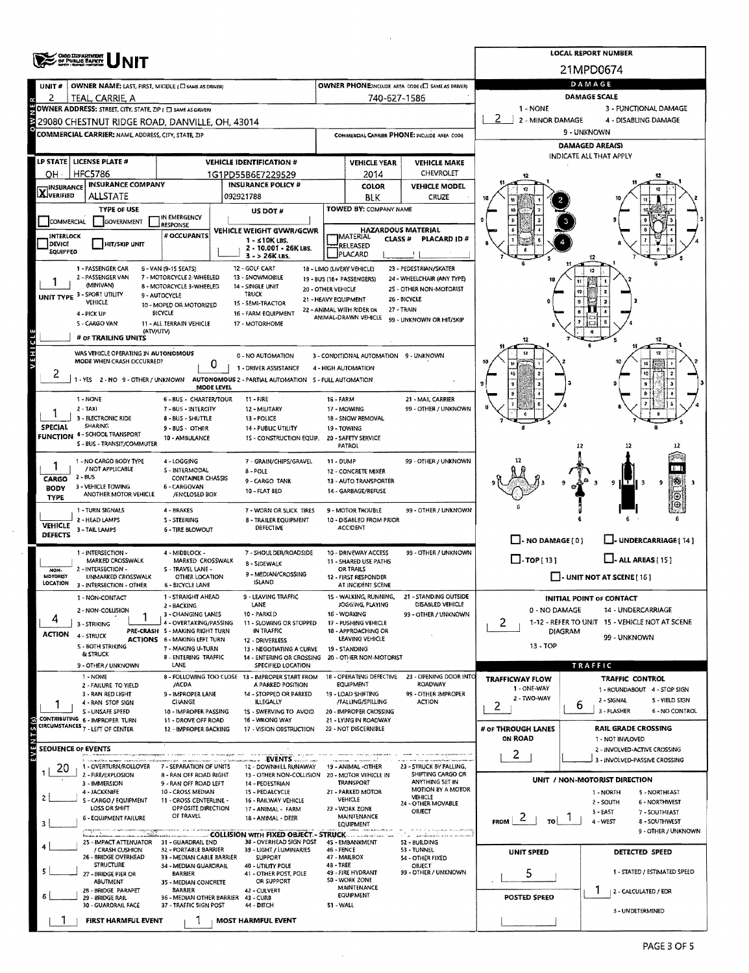|                                                                                       | <b>OHIO DEPARTMENT</b>                                             |                                                          | <b>LOCAL REPORT NUMBER</b>                                                               |                                             |                                                    |                                                       |                                                         |                                                                      |  |  |  |  |
|---------------------------------------------------------------------------------------|--------------------------------------------------------------------|----------------------------------------------------------|------------------------------------------------------------------------------------------|---------------------------------------------|----------------------------------------------------|-------------------------------------------------------|---------------------------------------------------------|----------------------------------------------------------------------|--|--|--|--|
|                                                                                       | OF PUBLIC SAFETY                                                   |                                                          |                                                                                          |                                             |                                                    |                                                       |                                                         | 21MPD0674                                                            |  |  |  |  |
| UNIT#                                                                                 | OWNER NAME: LAST, FIRST, MIDDLE (C) SAME AS DRIVER)                |                                                          |                                                                                          |                                             |                                                    | OWNER PHONE:INCLUDE AREA CODE (E) SAME AS DRIVER)     | DAMAGE                                                  |                                                                      |  |  |  |  |
| 2                                                                                     | TEAL, CARRIE, A                                                    |                                                          |                                                                                          |                                             | 740-627-1586                                       |                                                       |                                                         | <b>DAMAGE SCALE</b>                                                  |  |  |  |  |
|                                                                                       | OWNER ADDRESS: STREET, CITY, STATE, ZIP ( C SAME AS ORIVER)        |                                                          |                                                                                          |                                             |                                                    |                                                       | 1 - NONE                                                | 3 - FUNCTIONAL DAMAGE                                                |  |  |  |  |
|                                                                                       | 29080 CHESTNUT RIDGE ROAD, DANVILLE, OH, 43014                     |                                                          |                                                                                          |                                             |                                                    |                                                       | 2 - MINOR DAMAGE<br>4 - DISABLING DAMAGE<br>9 - UNKNOWN |                                                                      |  |  |  |  |
|                                                                                       | <b>COMMERCIAL CARRIER: NAME, ADDRESS, CITY, STATE, ZIP</b>         |                                                          |                                                                                          | COMMERCIAL CARRIER PHONE: INCLUDE AREA CODE |                                                    |                                                       | <b>DAMAGED AREA(S)</b>                                  |                                                                      |  |  |  |  |
|                                                                                       | LP STATE   LICENSE PLATE #                                         |                                                          | <b>VEHICLE IDENTIFICATION #</b>                                                          |                                             |                                                    |                                                       |                                                         | INDICATE ALL THAT APPLY                                              |  |  |  |  |
| OH                                                                                    | <b>HFC5786</b>                                                     | 1G1PD55B6E7229529                                        |                                                                                          | <b>VEHICLE YEAR</b><br>2014                 | <b>VEHICLE MAKE</b><br><b>CHEVROLET</b>            |                                                       |                                                         |                                                                      |  |  |  |  |
|                                                                                       | <b>INSURANCE COMPANY</b>                                           |                                                          | <b>INSURANCE POLICY #</b>                                                                |                                             | COLOR                                              | <b>VEHICLE MODEL</b>                                  |                                                         |                                                                      |  |  |  |  |
| <b>X</b> INSURANCE                                                                    | ALLSTATE                                                           |                                                          | 092921788                                                                                |                                             | <b>BLK</b>                                         | CRUZE                                                 |                                                         |                                                                      |  |  |  |  |
|                                                                                       | <b>TYPE OF USE</b>                                                 | IN EMERGENCY                                             | US DOT #                                                                                 |                                             | TOWED BY: COMPANY NAME                             |                                                       |                                                         |                                                                      |  |  |  |  |
| <b>GOVERNMENT</b><br><b>COMMERCIAL</b><br><b>RESPONSE</b><br>VEHICLE WEIGHT GVWR/GCWR |                                                                    |                                                          |                                                                                          |                                             | <b>HAZARDOUS MATERIAL</b>                          |                                                       |                                                         |                                                                      |  |  |  |  |
| # OCCUPANTS<br>INTERLOCK<br>$1 - s10K$ LBS.<br><b>IDEVICE</b><br><b>HIT/SKIP UNIT</b> |                                                                    |                                                          |                                                                                          |                                             | <b>IMATERIAL</b><br>CLASS <sup>#</sup><br>RELEASED | PLACARD ID#                                           |                                                         |                                                                      |  |  |  |  |
| <b>EQUIPPED</b>                                                                       |                                                                    |                                                          | 2 - 10.001 - 26K LBS.<br>$3 - 26K$ LBS.                                                  |                                             | PLACARD                                            |                                                       |                                                         |                                                                      |  |  |  |  |
|                                                                                       | 1 - PASSENGER CAR                                                  | 6 - VAN (9-15 SEATS)                                     | 12 - GOLF CART                                                                           |                                             | 18 - LIMO (LIVERY VEHICLE)                         | 23 - PEDESTRIAN/SKATER                                |                                                         |                                                                      |  |  |  |  |
|                                                                                       | 2 - PASSENGER VAN<br>(MINIVAN)                                     | 7 - MOTORCYCLE 2-WHEELED<br>8 - MOTORCYCLE 3-WHEELED     | 13 - SNOWMOBILE<br>14 - SINGLE UNIT                                                      | 20 - OTHER VEHICLE                          | 19 - BUS (16+ PASSENGERS)                          | 24 - WHEELCHAIR (ANY TYPE)<br>25 - OTHER NON-MOTORIST |                                                         |                                                                      |  |  |  |  |
|                                                                                       | UNIT TYPE 3 - SPORT UTILITY<br>VEHICLE                             | 9 - AUTOCYCLE<br>10 - MOPED OR MOTORIZED                 | <b>TRUCK</b><br>15 - SEMI-TRACTOR                                                        | 21 - HEAVY EQUIPMENT                        |                                                    | 26 - BICYCLE                                          |                                                         |                                                                      |  |  |  |  |
|                                                                                       | 4 - PICK UP                                                        | <b>BICYCLE</b>                                           | 16 - FARM EQUIPMENT                                                                      |                                             | 22 - ANIMAL WITH RIDER OR<br>ANIMAL-DRAWN VEHICLE  | 27 - TRAIN<br>99 - UNKNOWN OR HIT/SKIP                |                                                         |                                                                      |  |  |  |  |
|                                                                                       | S - CARGO VAN<br>(ATV/UTV)                                         | 11 - ALL TERRAIN VEHICLE                                 | 17 - MOTORHOME                                                                           |                                             |                                                    |                                                       |                                                         |                                                                      |  |  |  |  |
| ರ                                                                                     | # OF TRAILING UNITS                                                |                                                          |                                                                                          |                                             |                                                    |                                                       |                                                         | 12                                                                   |  |  |  |  |
| i H 3                                                                                 | WAS VEHICLE OPERATING IN AUTONOMOUS<br>MODE WHEN CRASH OCCURRED?   |                                                          | 0 - NO AUTOMATION                                                                        |                                             | 3 - CONDITIONAL AUTOMATION 9 - UNKNOWN             |                                                       |                                                         |                                                                      |  |  |  |  |
| 2                                                                                     |                                                                    | 0                                                        | 1 - DRIVER ASSISTANCE                                                                    |                                             | 4 - HIGH AUTOMATION                                |                                                       |                                                         |                                                                      |  |  |  |  |
|                                                                                       |                                                                    | <b>MODE LEVEL</b>                                        | 1 - YES 2 - NO 9 - OTHER / UNKNOWN AUTONOMOUS 2 - PARTIAL AUTOMATION 5 - FULL AUTOMATION |                                             |                                                    |                                                       |                                                         |                                                                      |  |  |  |  |
|                                                                                       | 1 - NONE                                                           | 6 - BUS - CHARTER/TOUR                                   | $11 - FIRE$                                                                              | 16 - FARM                                   |                                                    | 21 - MAIL CARRIER                                     |                                                         |                                                                      |  |  |  |  |
|                                                                                       | 2 - TAXI<br>3 - ELECTRONIC RIDE                                    | 7 - BUS - INTERCITY<br>12 - MILITARY<br>13 - POLICE      |                                                                                          | 17 - MOWING<br>18 - SNOW REMOVAL            | 99 - OTHER / UNKNOWN                               |                                                       |                                                         |                                                                      |  |  |  |  |
| <b>SPECIAL</b>                                                                        | <b>SHARING</b>                                                     | <b>14 - PUBLIC UTILITY</b>                               |                                                                                          | 19 - TOWING                                 |                                                    |                                                       |                                                         |                                                                      |  |  |  |  |
|                                                                                       | <b>FUNCTION 4 - SCHOOL TRANSPORT</b><br>S - BUS - TRANSIT/COMMUTER | 10 - AMBULANCE                                           | 1S - CONSTRUCTION EQUIP.                                                                 |                                             | 20 - SAFETY SERVICE<br>PATROL                      |                                                       |                                                         | 12<br>12                                                             |  |  |  |  |
|                                                                                       | 1 - NO CARGO BODY TYPE                                             | 4 - LOGGING                                              | 7 - GRAIN/CHIPS/GRAVEL                                                                   | 11 - DUMP                                   |                                                    | 99 - OTHER / UNKNOWN                                  |                                                         |                                                                      |  |  |  |  |
|                                                                                       | / NOT APPLICABLE                                                   | S - INTERMODAL                                           | $8 - POLE$                                                                               |                                             | 12 - CONCRETE MIXER                                |                                                       |                                                         |                                                                      |  |  |  |  |
| CARGO<br><b>BODY</b>                                                                  | 2 - BUS<br>3 - VEHICLE TOWING                                      | <b>CONTAINER CHASSIS</b><br>6 - CARGOVAN                 | 9 - CARGO TANK<br>10 - FLAT BED                                                          |                                             | 13 - AUTO TRANSPORTER<br>14 - GARBAGE/REFUSE       |                                                       |                                                         | ٥<br>T.<br>-9                                                        |  |  |  |  |
| <b>TYPE</b>                                                                           | ANOTHER MOTOR VEHICLE                                              | /ENCLOSED BOX                                            |                                                                                          |                                             |                                                    |                                                       |                                                         |                                                                      |  |  |  |  |
|                                                                                       | 1 - TURN SIGNALS<br>2 - HEAD LAMPS                                 | 4 - BRAKES<br>5 - STEERING                               | 7 - WORN OR SLICK TIRES<br>8 - TRAILER EQUIPMENT                                         |                                             | 9 - MOTOR TROUBLE<br>10 - DISABLED FROM PRIOR      | 99 - OTHER / UNKNOWN                                  |                                                         |                                                                      |  |  |  |  |
| <b>VEHICLE</b><br><b>DEFECTS</b>                                                      | 3 - TAIL LAMPS                                                     | <b>6 - TIRE BLOWOUT</b>                                  | <b>DEFECTIVE</b>                                                                         |                                             | <b>ACCIDENT</b>                                    |                                                       |                                                         |                                                                      |  |  |  |  |
|                                                                                       |                                                                    |                                                          |                                                                                          |                                             |                                                    |                                                       | $\Box$ - NO DAMAGE $\Box$                               | L-UNDERCARRIAGE [ 14 ]                                               |  |  |  |  |
|                                                                                       | 1 - INTERSECTION -<br>MARKED CROSSWALK                             | 4 - MIDBLOCK -<br>MARKED CROSSWALK                       | 7 - SHOULDER/ROADSIDE<br>8 - SIDEWALK                                                    |                                             | 10 - DRIVEWAY ACCESS<br>11 - SHARED USE PATHS      | 99 - OTHER / UNKNOWN                                  | $\Box$ -TOP[13]                                         | $L$ - ALL AREAS (15)                                                 |  |  |  |  |
| NON-<br><b>MOTORIST</b>                                                               | 2 - INTERSECTION -<br>UNMARKED CROSSWALK                           | S - TRAVEL LANE -<br>OTHER LOCATION                      | 9 - MEDIAN/CROSSING                                                                      |                                             | OR TRAILS<br>12 - FIRST RESPONDER                  |                                                       |                                                         | $\Box$ - UNIT NOT AT SCENE [ 16 ]                                    |  |  |  |  |
| LOCATION                                                                              | 3 - INTERSECTION - OTHER                                           | <b>6 - BICYCLE LANE</b>                                  | <b>ISLAND</b>                                                                            |                                             | AT INCIDENT SCENE                                  |                                                       |                                                         |                                                                      |  |  |  |  |
|                                                                                       | 1 - NON-CONTACT                                                    | 1 - STRAIGHT AHEAD<br>2 - BACKING                        | LEAVING TRAFFIC<br>LANE.                                                                 |                                             | 1S - WALKING, RUNNING,<br>JOGGING, PLAYING         | - STANDING OUTSIDE<br>DISABLED VEHICLE                |                                                         | <b>INITIAL POINT OF CONTACT</b>                                      |  |  |  |  |
| 4                                                                                     | 2 - NON-COLLISION                                                  | 3 - CHANGING LANES<br>4 - OVERTAKING/PASSING             | 10 - PARKED                                                                              |                                             | 16 - WORKING                                       | 99 - OTHER / UNKNOWN                                  | 0 - NO DAMAGE                                           | 14 - UNDERCARRIAGE<br>1-12 - REFER TO UNIT 15 - VEHICLE NOT AT SCENE |  |  |  |  |
| <b>ACTION</b>                                                                         | 3 - STRIKING<br>4 - STRUCK                                         | PRE-CRASH 5 - MAKING RIGHT TURN                          | 11 - SLOWING OR STOPPED<br>IN TRAFFIC                                                    |                                             | 17 - PUSHING VEHICLE<br>18 - APPROACHING OR        |                                                       | 2<br><b>DIAGRAM</b>                                     |                                                                      |  |  |  |  |
|                                                                                       | S - BOTH STRIKING                                                  | <b>ACTIONS 6 - MAKING LEFT TURN</b><br>7 - MAKING U-TURN | 12 - DRIVERLESS<br>13 - NEGOTIATING A CURVE                                              |                                             | LEAVING VEHICLE<br>19 - STANDING                   |                                                       | 99 - UNKNOWN<br>$13 - TOP$                              |                                                                      |  |  |  |  |
|                                                                                       | & STRUCK<br>9 - OTHER / UNKNOWN                                    | 8 - ENTERING TRAFFIC<br>LANE                             | 14 - ENTERING OR CROSSING<br>SPECIFIED LOCATION                                          |                                             | 20 - OTHER NON-MOTORIST                            |                                                       |                                                         | <b>TRAFFIC</b>                                                       |  |  |  |  |
|                                                                                       | 1 - NONE                                                           |                                                          | 8 - FOLLOWING TOO CLOSE 13 - IMPROPER START FROM                                         |                                             | 18 - OPERATING DEFECTIVE                           | 23 - OPENING DOOR INTO                                | <b>TRAFFICWAY FLOW</b>                                  | TRAFFIC CONTROL                                                      |  |  |  |  |
|                                                                                       | 2 - FAILURE TO YIELD<br>3 - RAN RED LIGHT                          | /ACDA<br>9 - IMPROPER LANE                               | A PARKED POSITION<br>14 - STOPPED OR PARKED                                              |                                             | <b>EQUIPMENT</b><br>19 - LOAD SHIFTING             | <b>ROADWAY</b><br>99 - OTHER IMPROPER                 | 1 - ONE WAY                                             | 1 - ROUNDABOUT 4 - STOP SIGN                                         |  |  |  |  |
|                                                                                       | 4 - RAN STOP SIGN                                                  | CHANGE                                                   | <b>ILLEGALLY</b>                                                                         |                                             | /FALLING/SPILLING                                  | <b>ACTION</b>                                         | 2 - TWO-WAY<br>2                                        | S - YIELD SIGN<br>2 - SIGNAL<br>6                                    |  |  |  |  |
|                                                                                       | S - UNSAFE SPEED<br>CONTRIBUTING 6 - IMPROPER TURN                 | 10 - IMPROPER PASSING<br>11 - DROVE OFF ROAD             | 1S - SWERVING TO AVOID<br>16 - WRONG WAY                                                 |                                             | 20 - IMPROPER CROSSING<br>21 - LYING IN ROADWAY    |                                                       |                                                         | 3 - FLASHER<br>6 - NO CONTROL                                        |  |  |  |  |
|                                                                                       | CIRCUMSTANCES <sub>7</sub> - LEFT OF CENTER                        | 12 - IMPROPER BACKING                                    | 17 - VISION OBSTRUCTION                                                                  |                                             | 22 - NOT DISCERNIBLE                               |                                                       | # or THROUGH LANES<br><b>ON ROAD</b>                    | <b>RAIL GRADE CROSSING</b><br>1 - NOT INVLOVED                       |  |  |  |  |
|                                                                                       | <b>SEOUENCE OF EVENTS</b>                                          |                                                          |                                                                                          |                                             |                                                    |                                                       |                                                         | 2 - INVOLVED-ACTIVE CROSSING                                         |  |  |  |  |
|                                                                                       | 1 - OVERTURN/ROLLOVER                                              | 7 - SEPARATION OF UNITS                                  | 12 - DOWNHILL RUNAWAY                                                                    |                                             | 19 - ANIMAL -OTHER                                 | 23 - STRUCK BY FALLING,                               | 2                                                       | 3 - INVOLVED-PASSIVE CROSSING                                        |  |  |  |  |
| 20                                                                                    | 2 - FIRE/EXPLOSION                                                 | 8 - RAN OFF ROAD RIGHT                                   | 13 - OTHER NON-COLLISION 20 - MOTOR VEHICLE IN                                           |                                             |                                                    | SHIFTING CARGO OR<br>ANYTHING SET IN                  |                                                         | UNIT / NON-MOTORIST DIRECTION                                        |  |  |  |  |
|                                                                                       | 3 - IMMERSION<br>4 - JACKKNIFE                                     | 9 - RAN OFF ROAD LEFT<br>10 - CROSS MEDIAN               | 14 - PEDESTRIAN<br>15 - PEDALCYCLE                                                       |                                             | <b>TRANSPORT</b><br>21 - PARKED MOTOR              | MOTION 8Y A MOTOR<br>VEHICLE                          |                                                         | 5 - NORTHEAST<br>1 - NORTH                                           |  |  |  |  |
|                                                                                       | S - CARGO / EQUIPMENT<br>LOSS OR SHIFT                             | 11 - CROSS CENTERLINE -<br>OPPOSITE DIRECTION            | 16 - RAILWAY VEHICLE<br>17 - ANIMAL - FARM                                               |                                             | VEHICLE<br>22 - WORK ZONE                          | 24 - OTHER MOVABLE                                    |                                                         | 2 - SOUTH<br><b>6 - NORTHWEST</b>                                    |  |  |  |  |
|                                                                                       | 6 - EQUIPMENT FAILURE                                              | OF TRAVEL                                                | 18 - ANIMAL - DEER                                                                       |                                             | MAINTENANCE<br>EQUIPMENT                           | OBJECT                                                | $\sim$<br><b>FROM</b><br>TO                             | $3 - EAST$<br>7 - SOUTHEAST<br>4 - WEST<br>8 - SOUTHWEST             |  |  |  |  |
|                                                                                       |                                                                    |                                                          | <b>COLLISION WITH FIXED OBJECT. - STRUCK</b>                                             |                                             |                                                    |                                                       |                                                         | 9 - OTHER / UNKNOWN                                                  |  |  |  |  |
|                                                                                       | 25 - IMPACT ATTENUATOR<br>/ CRASH CUSHION                          | 31 - GUARDRAIL END<br>32 - PORTABLE BARRIER              | 38 - OVERHEAD SIGN POST<br>39 - LIGHT / LUMINARIES                                       | 46 - FENCE                                  | 45 - EMBANKMENT                                    | <b>S2 - BUILDING</b><br>53 - TUNNEL                   | UNIT SPEED                                              | <b>DETECTED SPEED</b>                                                |  |  |  |  |
|                                                                                       | 26 - BRIDGE OVERHEAD<br><b>STRUCTURE</b>                           | 33 - MEDIAN CABLE BARRIER<br>34 - MEDIAN GUARDRAIL       | <b>SUPPORT</b><br>40 - UTILITY POLE                                                      | 48 - TREE                                   | 47 - MAILBOX                                       | 54 - OTHER FIXED<br>OBJECT                            |                                                         |                                                                      |  |  |  |  |
|                                                                                       | 27 - Bridge Pier or<br><b>ABUTMENT</b>                             | <b>BARRIER</b><br>35 - MEDIAN CONCRETE                   | 41 - OTHER POST, POLE<br>OR SUPPORT                                                      |                                             | 49 - FIRE HYDRANT<br>50 - WORK ZONE                | 99 - OTHER / UNKNOWN                                  | 5                                                       | 1 - STATED / ESTIMATED SPEED                                         |  |  |  |  |
|                                                                                       | 25 - BRIDGE PARAPET                                                | <b>BARRIER</b>                                           | 42 - CULVERT                                                                             |                                             | MAINTENANCE<br><b>EQUIPMENT</b>                    |                                                       |                                                         | 2 - CALCULATED / EDR                                                 |  |  |  |  |
|                                                                                       | 29 - BRIDGE RAIL<br>30 - GUARDRAIL FACE                            | 36 - MEDIAN OTHER BARRIER<br>37 - TRAFFIC 5IGN POST      | 43 - CURB<br>44 - DITCH                                                                  | 51 - WALL                                   |                                                    |                                                       | POSTED SPEED                                            | 3 - UNDETERMINED                                                     |  |  |  |  |
|                                                                                       | FIRST HARMFUL EVENT                                                |                                                          | <b>MOST HARMFUL EVENT</b>                                                                |                                             |                                                    |                                                       |                                                         |                                                                      |  |  |  |  |

 $\sim$   $\sim$ 

 $\sim$  $\mathcal{L}_{\mathcal{A}}$   $\hat{\mathcal{A}}$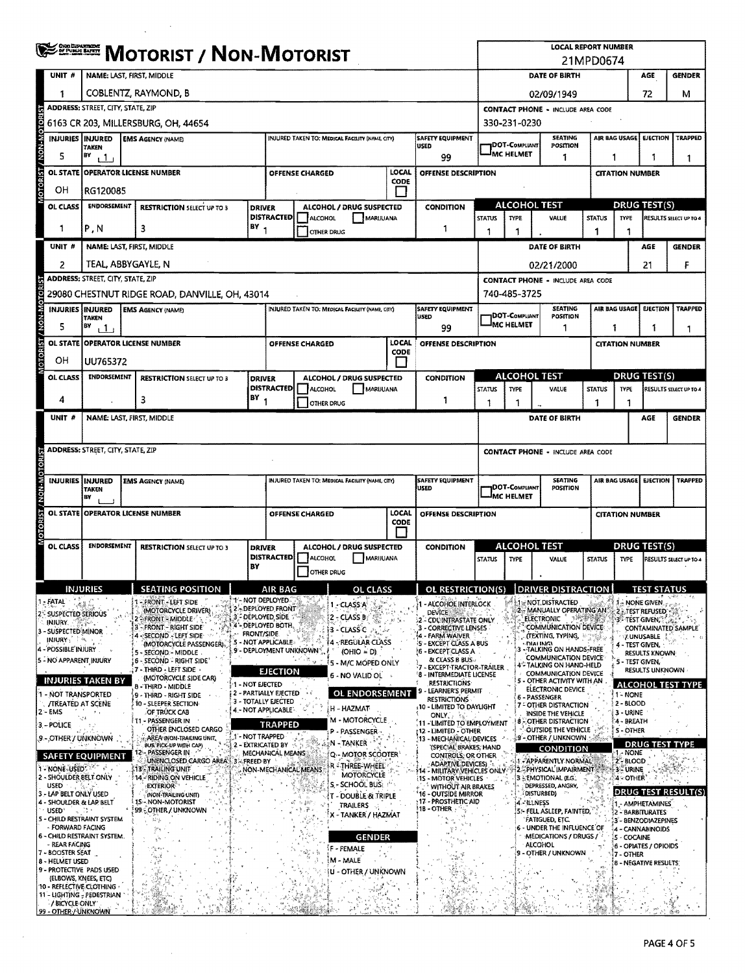|                                                                  | <b>WEERER MOTORIST / NON-MOTORIST</b>                                                                           |                                                              |                                      |                                                                                                      |                                 |                                                 |                                 |                                                                       |                                                                                        | <b>LOCAL REPORT NUMBER</b><br>21MPD0674 |                                                          |                      |                                         |                                                              |                          |  |  |
|------------------------------------------------------------------|-----------------------------------------------------------------------------------------------------------------|--------------------------------------------------------------|--------------------------------------|------------------------------------------------------------------------------------------------------|---------------------------------|-------------------------------------------------|---------------------------------|-----------------------------------------------------------------------|----------------------------------------------------------------------------------------|-----------------------------------------|----------------------------------------------------------|----------------------|-----------------------------------------|--------------------------------------------------------------|--------------------------|--|--|
| UNIT#                                                            | NAME: LAST, FIRST, MIDDLE                                                                                       |                                                              |                                      |                                                                                                      |                                 |                                                 |                                 |                                                                       |                                                                                        |                                         | DATE OF BIRTH<br><b>GENDER</b><br>AGE                    |                      |                                         |                                                              |                          |  |  |
| 1                                                                | COBLENTZ, RAYMOND, B                                                                                            | 02/09/1949                                                   |                                      |                                                                                                      |                                 |                                                 | 72                              | м                                                                     |                                                                                        |                                         |                                                          |                      |                                         |                                                              |                          |  |  |
|                                                                  | <b>ADDRESS: STREET, CITY, STATE, ZIP</b>                                                                        | <b>CONTACT PHONE - INCLUDE AREA CODE</b>                     |                                      |                                                                                                      |                                 |                                                 |                                 |                                                                       |                                                                                        |                                         |                                                          |                      |                                         |                                                              |                          |  |  |
| <b>ROIOR</b>                                                     |                                                                                                                 | 6163 CR 203, MILLERSBURG, OH, 44654                          |                                      |                                                                                                      |                                 |                                                 |                                 |                                                                       | 330-231-0230                                                                           |                                         |                                                          |                      |                                         |                                                              |                          |  |  |
| <b>NON-M</b>                                                     | <b>INJURIES INJURED</b><br><b>EMS AGENCY (NAME)</b><br>INJURED TAKEN TO: MEDICAL FACILITY (NAME, CITY)<br>TAKEN |                                                              |                                      |                                                                                                      |                                 |                                                 | SAFETY EQUIPMENT<br><b>USED</b> |                                                                       | <b>DOT-COMPLIANT</b>                                                                   | <b>SEATING</b><br>POSITION              |                                                          | <b>AIR BAG USAGE</b> | <b>EJECTION</b>                         | <b>TRAPPED</b>                                               |                          |  |  |
| 5                                                                | BY<br>ر 1ن                                                                                                      |                                                              |                                      |                                                                                                      |                                 |                                                 |                                 | 99                                                                    |                                                                                        | MC HELMET                               | 1                                                        | 1<br>1.<br>1         |                                         |                                                              |                          |  |  |
| OL STATE                                                         | LOCAL<br><b>OPERATOR LICENSE NUMBER</b><br>OFFENSE CHARGED<br>CODE                                              |                                                              |                                      |                                                                                                      |                                 | OFFENSE DESCRIPTION                             | <b>CITATION NUMBER</b>          |                                                                       |                                                                                        |                                         |                                                          |                      |                                         |                                                              |                          |  |  |
| OН                                                               | RG120085                                                                                                        |                                                              |                                      |                                                                                                      |                                 |                                                 |                                 |                                                                       |                                                                                        |                                         |                                                          |                      |                                         |                                                              |                          |  |  |
| OL CLASS                                                         | ENDORSEMENT<br><b>RESTRICTION SELECT UP TO 3</b><br><b>DRIVER</b>                                               |                                                              |                                      | <b>DISTRACTED</b>                                                                                    | ALCOHOL                         | ALCOHOL / DRUG SUSPECTED<br>MARIJUANA           |                                 | <b>CONDITION</b>                                                      | <b>STATUS</b>                                                                          | <b>ALCOHOL TEST</b><br><b>TYPE</b>      | VALUE<br><b>STATUS</b>                                   |                      |                                         | <b>DRUG TEST(S)</b><br><b>TYPE</b><br>RESULTS SELECT UP TO 4 |                          |  |  |
| 1                                                                | P, N                                                                                                            | BY <sub>1</sub><br>3                                         |                                      |                                                                                                      | <b>OTHER DRUG</b>               |                                                 |                                 | 1                                                                     | 1                                                                                      | 1                                       |                                                          | 1                    | 1                                       |                                                              |                          |  |  |
| UNIT #                                                           | NAME: LAST, FIRST, MIDDLE                                                                                       |                                                              |                                      |                                                                                                      |                                 |                                                 |                                 |                                                                       |                                                                                        |                                         | DATE OF BIRTH                                            |                      |                                         | <b>AGE</b>                                                   | <b>GENDER</b>            |  |  |
| 2                                                                | TEAL, ABBYGAYLE, N                                                                                              |                                                              |                                      |                                                                                                      |                                 |                                                 |                                 |                                                                       |                                                                                        |                                         | 02/21/2000                                               |                      |                                         | 21                                                           | F                        |  |  |
|                                                                  | <b>ADDRESS: STREET, CITY, STATE, ZIP</b>                                                                        |                                                              |                                      |                                                                                                      |                                 |                                                 |                                 |                                                                       |                                                                                        |                                         | <b>CONTACT PHONE - INCLUDE AREA CODE</b>                 |                      |                                         |                                                              |                          |  |  |
| <b>BOZO</b>                                                      |                                                                                                                 | 29080 CHESTNUT RIDGE ROAD, DANVILLE, OH, 43014               |                                      |                                                                                                      |                                 |                                                 |                                 |                                                                       |                                                                                        | 740-485-3725                            |                                                          |                      |                                         |                                                              |                          |  |  |
|                                                                  | INJURIES INJURED<br><b>TAKEN</b>                                                                                | <b>EMS AGENCY (NAME)</b>                                     |                                      |                                                                                                      |                                 | INJURED TAKEN TO: MEDICAL FACILITY (NAME, CITY) |                                 | SAFETY EQUIPMENT<br>usep                                              |                                                                                        | <b>JDOT-COMPLIANT</b>                   | <b>SEATING</b><br>POSITION                               |                      | AIR BAG USAGE                           | EJECTION                                                     | <b>TRAPPED</b>           |  |  |
| 5                                                                | BY<br>ر 1 ر                                                                                                     |                                                              |                                      |                                                                                                      |                                 |                                                 |                                 | 99                                                                    |                                                                                        | MC HELMET                               | -1                                                       |                      | 1                                       | 1                                                            | -1                       |  |  |
| <b>OL STATE</b>                                                  | <b>OPERATOR LICENSE NUMBER</b>                                                                                  |                                                              |                                      |                                                                                                      | OFFENSE CHARGED                 |                                                 | LOCAL<br>CODE                   | OFFENSE DESCRIPTION                                                   |                                                                                        |                                         |                                                          |                      | <b>CITATION NUMBER</b>                  |                                                              |                          |  |  |
| OН                                                               | UU765372                                                                                                        |                                                              |                                      |                                                                                                      |                                 |                                                 |                                 |                                                                       |                                                                                        |                                         |                                                          |                      |                                         |                                                              |                          |  |  |
| OL CLASS                                                         | ENDORSEMENT                                                                                                     | <b>RESTRICTION SELECT UP TO 3</b>                            | <b>DRIVER</b>                        | <b>DISTRACTED</b>                                                                                    |                                 | ALCOHOL / DRUG SUSPECTED<br><b>MARUUANA</b>     |                                 | <b>CONDITION</b>                                                      |                                                                                        | ALCOHOL TEST                            |                                                          |                      | <b>DRUG TEST(S)</b><br><b>TYPE</b>      |                                                              | RESULTS SELECT UP TO 4   |  |  |
| 4                                                                |                                                                                                                 | 3                                                            | BY                                   |                                                                                                      | ALCOHOL<br>OTHER DRUG           |                                                 |                                 | 1                                                                     | <b>STATUS</b><br>1                                                                     | <b>TYPE</b><br>1                        | VALUE                                                    | <b>STATUS</b><br>1   | 1                                       |                                                              |                          |  |  |
| UNIT #                                                           | NAME: LAST, FIRST, MIDDLE                                                                                       |                                                              |                                      |                                                                                                      |                                 |                                                 |                                 |                                                                       |                                                                                        |                                         | DATE OF BIRTH                                            |                      |                                         | AGE                                                          | <b>GENDER</b>            |  |  |
|                                                                  |                                                                                                                 |                                                              |                                      |                                                                                                      |                                 |                                                 |                                 |                                                                       |                                                                                        |                                         |                                                          |                      |                                         |                                                              |                          |  |  |
|                                                                  | <b>ADDRESS: STREET, CITY, STATE, ZIP</b>                                                                        |                                                              |                                      |                                                                                                      |                                 |                                                 |                                 |                                                                       | <b>CONTACT PHONE - INCLUDE AREA CODE</b>                                               |                                         |                                                          |                      |                                         |                                                              |                          |  |  |
|                                                                  |                                                                                                                 |                                                              |                                      |                                                                                                      |                                 |                                                 |                                 |                                                                       |                                                                                        |                                         |                                                          |                      |                                         |                                                              |                          |  |  |
| <b>M-NON</b>                                                     | INJURIES INJURED<br><b>TAKEN</b>                                                                                | <b>EMS AGENCY (NAME)</b>                                     |                                      |                                                                                                      |                                 | INJURED TAKEN TO: MEDICAL FACILITY (NAME, CITY) |                                 | <b>SAFETY EQUIPMENT</b><br>USED                                       | <b>SEATING</b><br>AIR BAG USAGE<br><b>EJECTION</b><br>DOT-COMPLIANT<br><b>POSITION</b> |                                         |                                                          |                      |                                         | <b>TRAPPED</b>                                               |                          |  |  |
|                                                                  | BV                                                                                                              |                                                              |                                      | LOCAL<br>OFFENSE CHARGED<br>OFFENSE DESCRIPTION<br>CODE<br>ALCOHOL / DRUG SUSPECTED<br><b>DRIVER</b> |                                 |                                                 | JMC HELMET                      |                                                                       |                                                                                        |                                         | <b>CITATION NUMBER</b>                                   |                      |                                         |                                                              |                          |  |  |
| <b>SO</b>                                                        | OL STATE OPERATOR LICENSE NUMBER                                                                                |                                                              |                                      |                                                                                                      |                                 |                                                 |                                 |                                                                       |                                                                                        |                                         |                                                          |                      |                                         |                                                              |                          |  |  |
| OL CLASS                                                         | <b>ENDORSEMENT</b>                                                                                              | <b>RESTRICTION SELECT UP TO 3</b>                            |                                      |                                                                                                      |                                 |                                                 | <b>CONDITION</b>                | ALCOHOL TEST                                                          |                                                                                        |                                         | <b>DRUG TEST(S)</b>                                      |                      |                                         |                                                              |                          |  |  |
|                                                                  |                                                                                                                 |                                                              |                                      | <b>DISTRACTED</b>                                                                                    | ALCOHOL                         | MARIJUANA                                       |                                 |                                                                       | <b>STATUS</b>                                                                          | TYPE                                    | VALUE                                                    | <b>STATUS</b>        | <b>TYPE</b>                             |                                                              | RESULTS SELECT UP TO A   |  |  |
|                                                                  |                                                                                                                 |                                                              | BY                                   |                                                                                                      | OTHER DRUG                      |                                                 |                                 |                                                                       |                                                                                        |                                         |                                                          |                      |                                         |                                                              |                          |  |  |
|                                                                  | <b>INJURIES</b>                                                                                                 | SEATING POSITION                                             |                                      | <b>AIR BAG</b>                                                                                       | и                               | OL CLACC                                        |                                 | OL RESTRICTION(S) DRIVER DISTRACTION                                  |                                                                                        |                                         |                                                          |                      |                                         | <b>TEST STATUS</b>                                           |                          |  |  |
| FATAL<br>2% SUSPECTED SERIOUS                                    |                                                                                                                 | - FRONT - LEFT SIDE<br>(MOTORCYCLE DRIVER)                   | <b>A - NOT DEPLOYED.</b>             | 12 - DEPLOYED FRONT                                                                                  |                                 | - CLASS A                                       |                                 | - ALCOHOL INTERLOCK<br><b>DEVICE:</b>                                 |                                                                                        |                                         | <b>MELL: NOT DISTRACTED</b><br>2 - MANUALLY OPERATING AN |                      |                                         | $\sim$ NONE GIVEN.<br><b>2. TEST REFUSED</b>                 |                          |  |  |
| INJURY.<br>3 - SUSPECTED MINOR                                   |                                                                                                                 | <b>EFRONT MIDDLE</b><br>3 - FRONT - RIGHT SIDE               | 3 - DEPLOYED SIDE<br>FRONT/SIDE.     | 4'- DEPLOYED BOTH,                                                                                   |                                 | 2 - CLASS B<br>3 - CLASS C                      |                                 | 2 - CDUINTRASTATE ONLY<br>3 - CORRECTIVE LENSES                       |                                                                                        |                                         | 不識<br><b>ELECTRONIC</b><br>COMMUNICATION DEVICE          |                      | <b>3 TEST GIVEN A CALL</b>              |                                                              | CONTAMINATED SAMPLE      |  |  |
| INJURY : 1<br>- POSSIBLE INJURY                                  |                                                                                                                 | -SECOND - LEFT SIDE<br>(MOTORCYCLE PASSENGER),               |                                      | 5 NOT APPLICABLE<br>9 - DEPLOYMENT UNKNOWN*                                                          |                                 | 4 - REGULAR CLASS                               |                                 | 4 - FARM WAIVER<br><b>IS - EXCEPT CLASS A BUS</b>                     |                                                                                        | - DIALING)                              | (TEXTING, TYPING,<br>- TALKING ON HANDS-FREE             |                      | 4 - TEST GIVEN,                         | <b>ZUNUSABLE</b>                                             |                          |  |  |
| 5 - NO APPARENT INJURY                                           |                                                                                                                 | 5 - SECOND - MIDDLE<br>5 - SECOND - RIGHT SIDE'              |                                      |                                                                                                      | 도시 R <sub>ea</sub>              | $(OHIO = D)$<br><sup>(</sup> 5 - M/C MOPED ONLY |                                 | 6 - EXCEPT CLASS A<br>& CLASS B BUS-<br><b>EXCEPT TRACTOR-TRAILER</b> |                                                                                        |                                         | COMMUNICATION DEVICE<br>4° TALKING ON HAND-HELD          |                      | 5 - TEST GIVEN.                         | <b>RESULTS KNOWN</b>                                         |                          |  |  |
|                                                                  | <b>INJURIES TAKEN BY</b>                                                                                        | 7 - THIRD - LEFT SIDE<br>(MOTORCYCLE SIDE CAR)               | 1 - NOT EJECTED                      | <b>EJECTION</b>                                                                                      |                                 | 6 - NO VALID OL →                               |                                 | 8 - INTERMEDIATE LICENSE<br><b>RESTRICTIONS</b>                       |                                                                                        |                                         | COMMUNICATION DEVICE<br>5 - OTHER ACTIVITY WITH AN       |                      |                                         | <b>RESULTS UNKNOWN</b>                                       | <b>ALCOHOL TEST TYPE</b> |  |  |
| - NOT TRANSPORTED                                                |                                                                                                                 | 8 - Third - Middle<br>9 - THIRD - RIGHT SIDE                 |                                      | 2 - PARTIALLY EJECTED<br>3 - TOTALLY EJECTED                                                         |                                 | OL ENDORSEMENT                                  |                                 | - LEARNER'S PERMIT<br>9.<br>RESTRICTIONS                              |                                                                                        |                                         | ELECTRONIC DEVICE<br>6 - PASSENGER                       |                      | 1 - NONE                                |                                                              |                          |  |  |
| $2 - EMS$                                                        | <b><i>TREATED AT SCENE</i></b><br>$\mathcal{F}$ .                                                               | 10 - SLEEPER SECTION<br>OF TRUCK CAB                         |                                      | 4 - NOT APPLICABLE`                                                                                  |                                 | H - HAZMAT                                      |                                 | <b>10 - LIMITED TO DAYLIGHT</b><br>ONLY.                              |                                                                                        |                                         | 7 - OTHER DISTRACTION<br>INSIDE THE VEHICLE              |                      | 2 - BLOOD<br>3 - URINE                  |                                                              |                          |  |  |
| 3 - POLICE                                                       |                                                                                                                 | 11 - PASSENGER IN<br>OTHER ENCLOSED CARGO                    |                                      | TRAPPED                                                                                              |                                 | M - MOTORCYCLE<br>P - PASSENGER                 |                                 | 11 - LIMITED TO EMPLOYMENT<br>: 12 - LIMITED - OTHER                  |                                                                                        | 8                                       | - OTHER DISTRACTION<br>OUTSIDE THE VEHICLE               |                      | 4 - BREATH<br><b>S-OTHER</b>            |                                                              |                          |  |  |
| 9 - OTHER / UNKNOWN                                              |                                                                                                                 | AREA (NON-TRAILING UNIT,<br>BUS PICK-UP WITH CAP)            | 1'- NOT TRAPPED<br>2 - EXTRICATED BY |                                                                                                      |                                 | N - TANKER                                      |                                 | 13 - MECHANICAL DEVICES<br>(SPECIAL BRAKES, HAND                      |                                                                                        |                                         | <b>9 - OTHER / UNKNOWN</b><br><b>CONDITION</b>           |                      |                                         |                                                              | <b>DRUG TEST TYPE</b>    |  |  |
| <b>1 - NONE-USED: 2 2 PM</b>                                     | <b>SAFETY EQUIPMENT</b>                                                                                         | 12 - PASSENGER IN<br>UNENCLOSED CARGO AREA 3 - FREED BY      |                                      | MECHANICAL MEANS                                                                                     |                                 | Q - MOTOR SCOOTER<br>R * THREE-WHEEL            |                                 | CONTROLS, OR OTHER<br>ADAPTIVE DEVICES)                               |                                                                                        |                                         | 1 - APPARENTLY NORMAL                                    |                      | 1 - NONE<br>2-BLOOD                     |                                                              |                          |  |  |
| 2 - SHOULDER BELT ONLY                                           |                                                                                                                 | 13 - TRAILING UNIT<br>14 - RIDING ON VEHICLE                 |                                      |                                                                                                      | NON-MECHANICAL MEANS            | MOTORCYCLE<br>S - SCHOOL BUS: 1                 |                                 | 14 - MILITARY VEHICLES ONLY-<br><b>15 - MOTOR VEHICLES</b>            |                                                                                        |                                         | <b>2-PHYSICAL IMPAIRMENT</b><br>3 EMOTIONAL (E.G.,       |                      | <b>53 JURINE</b><br>4 - OTHER           |                                                              |                          |  |  |
| <b>USED</b><br>3 - LAP BELT ONLY USED<br>4 - SHOULDER & LAP BELT |                                                                                                                 | <b>EXTERIOR®</b><br>(NON-TRAILING UNIT)<br>15 - NON-MOTORIST |                                      |                                                                                                      |                                 | T - DOUBLE & TRIPLE                             |                                 | WITHOUT AIR BRAKES<br>'16 - OUTSIDE MIRROR<br>: 17 - PROSTHETIC AID   |                                                                                        |                                         | DEPRESSED, ANGRY,<br>DISTURBED)                          |                      |                                         |                                                              | DRUG TEST RESULT(S)      |  |  |
| <b>USED</b>                                                      | 見合き<br>S - CHILD RESTRAINT SYSTEM                                                                               | 99. OTHER / UNKNOWN                                          |                                      |                                                                                                      | $\sharp\mathcal{H}$<br>n,<br>7, | TRAILERS<br>X - TANKER / HAZMAT                 |                                 | '1B - OTHER                                                           |                                                                                        | 4 - ILLNESS                             | 5:- FELL ASLEEP, FAINTED,                                |                      | 1 - AMPHETAMINES<br>2 - BARBITURATES    |                                                              |                          |  |  |
| - FORWARD FACING                                                 |                                                                                                                 | 顯片                                                           |                                      |                                                                                                      |                                 |                                                 |                                 |                                                                       |                                                                                        |                                         | <b>FATIGUED, ETC.</b><br>6 - UNDER THE INFLUENCE OF      |                      | 3 - BENZODIAZEPINES<br>4 - CANNABINOIDS |                                                              |                          |  |  |
| - REAR FACING                                                    | 6 - CHILD RESTRAINT SYSTEM.                                                                                     |                                                              |                                      |                                                                                                      | 42                              | <b>GENDER</b><br>if - Female                    |                                 |                                                                       |                                                                                        |                                         | MEDICATIONS / DRUGS /<br><b>ALCOHOL</b>                  |                      | 5 - COCAINE<br>6 - OPIATES / OPIOIDS    |                                                              |                          |  |  |
| 7 - BOOSTER SEAT<br>8 - HELMET USED                              |                                                                                                                 |                                                              |                                      |                                                                                                      |                                 | M - MALE                                        |                                 |                                                                       |                                                                                        |                                         | 9 - OTHER / UNKNOWN                                      |                      | 7 - OTHER<br>8 - NEGATIVE RESULTS       |                                                              |                          |  |  |
| 9 - PROTECTIVE PADS USED                                         | (ELBOWS, KNEES, ETC)                                                                                            |                                                              |                                      |                                                                                                      |                                 | U - OTHER / UNKNOWN                             |                                 |                                                                       |                                                                                        |                                         |                                                          |                      |                                         |                                                              |                          |  |  |
| 10 - REFLECTIVE CLOTHING                                         | 11 - LIGHTING - PEDESTRIAN                                                                                      |                                                              |                                      |                                                                                                      |                                 |                                                 |                                 |                                                                       |                                                                                        |                                         |                                                          |                      |                                         |                                                              |                          |  |  |
| / BICYCLE ONLY<br>99 - OTHER / UNKNOWN                           |                                                                                                                 |                                                              |                                      |                                                                                                      |                                 |                                                 |                                 |                                                                       |                                                                                        |                                         |                                                          |                      |                                         |                                                              |                          |  |  |

 $\bar{\mathcal{A}}$ 

 $\hat{\mathcal{A}}$ 

 $\sim$ 

 $\Delta \sim 10^6$